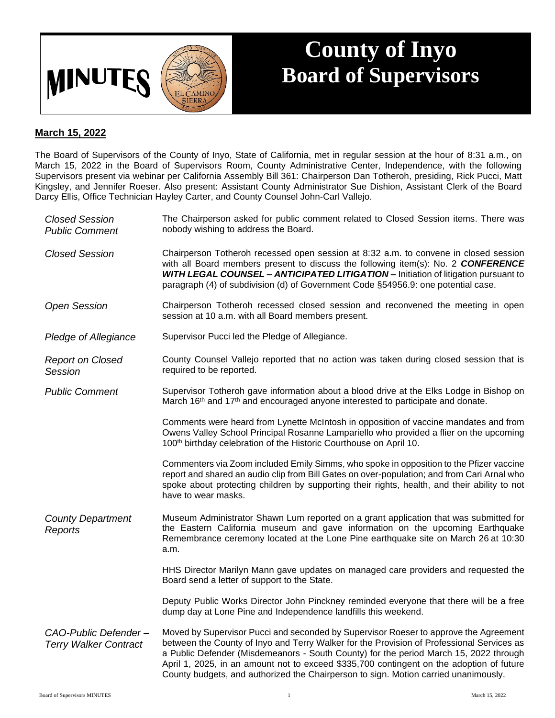

## **County of Inyo Board of Supervisors**

## **March 15, 2022**

The Board of Supervisors of the County of Inyo, State of California, met in regular session at the hour of 8:31 a.m., on March 15, 2022 in the Board of Supervisors Room, County Administrative Center, Independence, with the following Supervisors present via webinar per California Assembly Bill 361: Chairperson Dan Totheroh, presiding, Rick Pucci, Matt Kingsley, and Jennifer Roeser. Also present: Assistant County Administrator Sue Dishion, Assistant Clerk of the Board Darcy Ellis, Office Technician Hayley Carter, and County Counsel John-Carl Vallejo.

| <b>Closed Session</b><br><b>Public Comment</b>       | The Chairperson asked for public comment related to Closed Session items. There was<br>nobody wishing to address the Board.                                                                                                                                                                                                                                                                                                                                   |
|------------------------------------------------------|---------------------------------------------------------------------------------------------------------------------------------------------------------------------------------------------------------------------------------------------------------------------------------------------------------------------------------------------------------------------------------------------------------------------------------------------------------------|
| <b>Closed Session</b>                                | Chairperson Totheroh recessed open session at 8:32 a.m. to convene in closed session<br>with all Board members present to discuss the following item(s): No. 2 CONFERENCE<br>WITH LEGAL COUNSEL - ANTICIPATED LITIGATION - Initiation of litigation pursuant to<br>paragraph (4) of subdivision (d) of Government Code §54956.9: one potential case.                                                                                                          |
| <b>Open Session</b>                                  | Chairperson Totheroh recessed closed session and reconvened the meeting in open<br>session at 10 a.m. with all Board members present.                                                                                                                                                                                                                                                                                                                         |
| Pledge of Allegiance                                 | Supervisor Pucci led the Pledge of Allegiance.                                                                                                                                                                                                                                                                                                                                                                                                                |
| <b>Report on Closed</b><br>Session                   | County Counsel Vallejo reported that no action was taken during closed session that is<br>required to be reported.                                                                                                                                                                                                                                                                                                                                            |
| <b>Public Comment</b>                                | Supervisor Totheroh gave information about a blood drive at the Elks Lodge in Bishop on<br>March 16 <sup>th</sup> and 17 <sup>th</sup> and encouraged anyone interested to participate and donate.                                                                                                                                                                                                                                                            |
|                                                      | Comments were heard from Lynette McIntosh in opposition of vaccine mandates and from<br>Owens Valley School Principal Rosanne Lampariello who provided a flier on the upcoming<br>100 <sup>th</sup> birthday celebration of the Historic Courthouse on April 10.                                                                                                                                                                                              |
|                                                      | Commenters via Zoom included Emily Simms, who spoke in opposition to the Pfizer vaccine<br>report and shared an audio clip from Bill Gates on over-population; and from Cari Arnal who<br>spoke about protecting children by supporting their rights, health, and their ability to not<br>have to wear masks.                                                                                                                                                 |
| <b>County Department</b><br>Reports                  | Museum Administrator Shawn Lum reported on a grant application that was submitted for<br>the Eastern California museum and gave information on the upcoming Earthquake<br>Remembrance ceremony located at the Lone Pine earthquake site on March 26 at 10:30<br>a.m.                                                                                                                                                                                          |
|                                                      | HHS Director Marilyn Mann gave updates on managed care providers and requested the<br>Board send a letter of support to the State.                                                                                                                                                                                                                                                                                                                            |
|                                                      | Deputy Public Works Director John Pinckney reminded everyone that there will be a free<br>dump day at Lone Pine and Independence landfills this weekend.                                                                                                                                                                                                                                                                                                      |
| CAO-Public Defender-<br><b>Terry Walker Contract</b> | Moved by Supervisor Pucci and seconded by Supervisor Roeser to approve the Agreement<br>between the County of Inyo and Terry Walker for the Provision of Professional Services as<br>a Public Defender (Misdemeanors - South County) for the period March 15, 2022 through<br>April 1, 2025, in an amount not to exceed \$335,700 contingent on the adoption of future<br>County budgets, and authorized the Chairperson to sign. Motion carried unanimously. |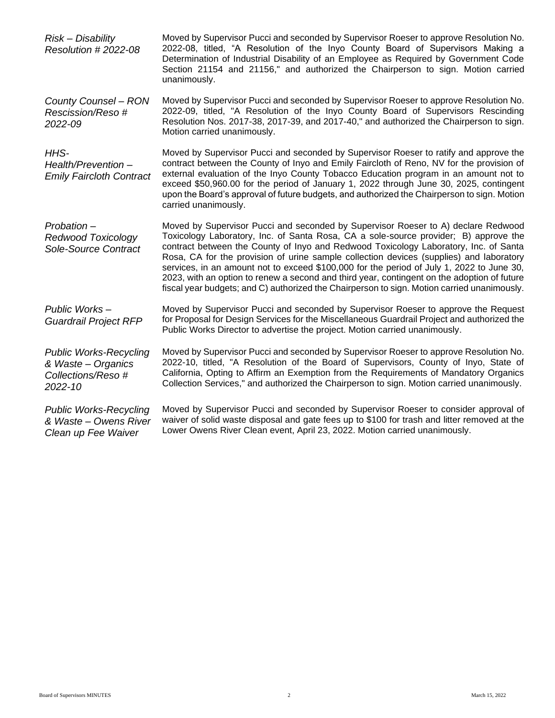| Risk - Disability<br>Resolution #2022-08                                             | Moved by Supervisor Pucci and seconded by Supervisor Roeser to approve Resolution No.<br>2022-08, titled, "A Resolution of the Inyo County Board of Supervisors Making a<br>Determination of Industrial Disability of an Employee as Required by Government Code<br>Section 21154 and 21156," and authorized the Chairperson to sign. Motion carried<br>unanimously.                                                                                                                                                                                                                                                                                    |
|--------------------------------------------------------------------------------------|---------------------------------------------------------------------------------------------------------------------------------------------------------------------------------------------------------------------------------------------------------------------------------------------------------------------------------------------------------------------------------------------------------------------------------------------------------------------------------------------------------------------------------------------------------------------------------------------------------------------------------------------------------|
| County Counsel - RON<br>Rescission/Reso #<br>2022-09                                 | Moved by Supervisor Pucci and seconded by Supervisor Roeser to approve Resolution No.<br>2022-09, titled, "A Resolution of the Inyo County Board of Supervisors Rescinding<br>Resolution Nos. 2017-38, 2017-39, and 2017-40," and authorized the Chairperson to sign.<br>Motion carried unanimously.                                                                                                                                                                                                                                                                                                                                                    |
| HHS-<br>Health/Prevention-<br><b>Emily Faircloth Contract</b>                        | Moved by Supervisor Pucci and seconded by Supervisor Roeser to ratify and approve the<br>contract between the County of Inyo and Emily Faircloth of Reno, NV for the provision of<br>external evaluation of the Inyo County Tobacco Education program in an amount not to<br>exceed \$50,960.00 for the period of January 1, 2022 through June 30, 2025, contingent<br>upon the Board's approval of future budgets, and authorized the Chairperson to sign. Motion<br>carried unanimously.                                                                                                                                                              |
| Probation-<br><b>Redwood Toxicology</b><br>Sole-Source Contract                      | Moved by Supervisor Pucci and seconded by Supervisor Roeser to A) declare Redwood<br>Toxicology Laboratory, Inc. of Santa Rosa, CA a sole-source provider; B) approve the<br>contract between the County of Inyo and Redwood Toxicology Laboratory, Inc. of Santa<br>Rosa, CA for the provision of urine sample collection devices (supplies) and laboratory<br>services, in an amount not to exceed \$100,000 for the period of July 1, 2022 to June 30,<br>2023, with an option to renew a second and third year, contingent on the adoption of future<br>fiscal year budgets; and C) authorized the Chairperson to sign. Motion carried unanimously. |
| Public Works-<br><b>Guardrail Project RFP</b>                                        | Moved by Supervisor Pucci and seconded by Supervisor Roeser to approve the Request<br>for Proposal for Design Services for the Miscellaneous Guardrail Project and authorized the<br>Public Works Director to advertise the project. Motion carried unanimously.                                                                                                                                                                                                                                                                                                                                                                                        |
| <b>Public Works-Recycling</b><br>& Waste - Organics<br>Collections/Reso #<br>2022-10 | Moved by Supervisor Pucci and seconded by Supervisor Roeser to approve Resolution No.<br>2022-10, titled, "A Resolution of the Board of Supervisors, County of Inyo, State of<br>California, Opting to Affirm an Exemption from the Requirements of Mandatory Organics<br>Collection Services," and authorized the Chairperson to sign. Motion carried unanimously.                                                                                                                                                                                                                                                                                     |
| <b>Public Works-Recycling</b><br>& Waste - Owens River<br>Clean up Fee Waiver        | Moved by Supervisor Pucci and seconded by Supervisor Roeser to consider approval of<br>waiver of solid waste disposal and gate fees up to \$100 for trash and litter removed at the<br>Lower Owens River Clean event, April 23, 2022. Motion carried unanimously.                                                                                                                                                                                                                                                                                                                                                                                       |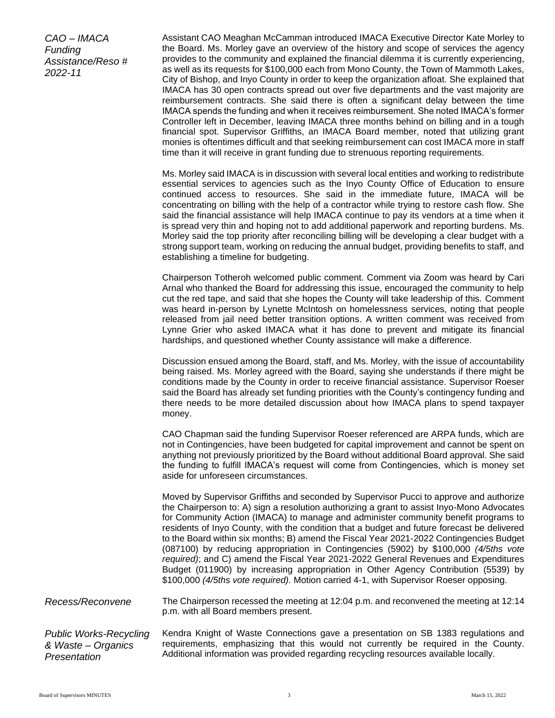*CAO – IMACA Funding Assistance/Reso # 2022-11*

Assistant CAO Meaghan McCamman introduced IMACA Executive Director Kate Morley to the Board. Ms. Morley gave an overview of the history and scope of services the agency provides to the community and explained the financial dilemma it is currently experiencing, as well as its requests for \$100,000 each from Mono County, the Town of Mammoth Lakes, City of Bishop, and Inyo County in order to keep the organization afloat. She explained that IMACA has 30 open contracts spread out over five departments and the vast majority are reimbursement contracts. She said there is often a significant delay between the time IMACA spends the funding and when it receives reimbursement. She noted IMACA's former Controller left in December, leaving IMACA three months behind on billing and in a tough financial spot. Supervisor Griffiths, an IMACA Board member, noted that utilizing grant monies is oftentimes difficult and that seeking reimbursement can cost IMACA more in staff time than it will receive in grant funding due to strenuous reporting requirements.

Ms. Morley said IMACA is in discussion with several local entities and working to redistribute essential services to agencies such as the Inyo County Office of Education to ensure continued access to resources. She said in the immediate future, IMACA will be concentrating on billing with the help of a contractor while trying to restore cash flow. She said the financial assistance will help IMACA continue to pay its vendors at a time when it is spread very thin and hoping not to add additional paperwork and reporting burdens. Ms. Morley said the top priority after reconciling billing will be developing a clear budget with a strong support team, working on reducing the annual budget, providing benefits to staff, and establishing a timeline for budgeting.

Chairperson Totheroh welcomed public comment. Comment via Zoom was heard by Cari Arnal who thanked the Board for addressing this issue, encouraged the community to help cut the red tape, and said that she hopes the County will take leadership of this. Comment was heard in-person by Lynette McIntosh on homelessness services, noting that people released from jail need better transition options. A written comment was received from Lynne Grier who asked IMACA what it has done to prevent and mitigate its financial hardships, and questioned whether County assistance will make a difference.

Discussion ensued among the Board, staff, and Ms. Morley, with the issue of accountability being raised. Ms. Morley agreed with the Board, saying she understands if there might be conditions made by the County in order to receive financial assistance. Supervisor Roeser said the Board has already set funding priorities with the County's contingency funding and there needs to be more detailed discussion about how IMACA plans to spend taxpayer money.

CAO Chapman said the funding Supervisor Roeser referenced are ARPA funds, which are not in Contingencies, have been budgeted for capital improvement and cannot be spent on anything not previously prioritized by the Board without additional Board approval. She said the funding to fulfill IMACA's request will come from Contingencies, which is money set aside for unforeseen circumstances.

Moved by Supervisor Griffiths and seconded by Supervisor Pucci to approve and authorize the Chairperson to: A) sign a resolution authorizing a grant to assist Inyo-Mono Advocates for Community Action (IMACA) to manage and administer community benefit programs to residents of Inyo County, with the condition that a budget and future forecast be delivered to the Board within six months; B) amend the Fiscal Year 2021-2022 Contingencies Budget (087100) by reducing appropriation in Contingencies (5902) by \$100,000 *(4/5ths vote required)*; and C) amend the Fiscal Year 2021-2022 General Revenues and Expenditures Budget (011900) by increasing appropriation in Other Agency Contribution (5539) by \$100,000 *(4/5ths vote required).* Motion carried 4-1, with Supervisor Roeser opposing.

*Recess/Reconvene* The Chairperson recessed the meeting at 12:04 p.m. and reconvened the meeting at 12:14 p.m. with all Board members present.

*Public Works-Recycling & Waste – Organics Presentation* Kendra Knight of Waste Connections gave a presentation on SB 1383 regulations and requirements, emphasizing that this would not currently be required in the County. Additional information was provided regarding recycling resources available locally.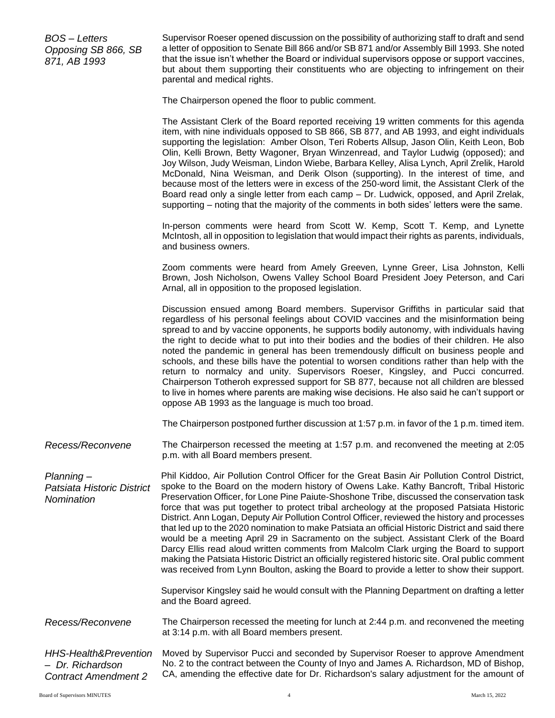*BOS – Letters Opposing SB 866, SB 871, AB 1993*

Supervisor Roeser opened discussion on the possibility of authorizing staff to draft and send a letter of opposition to Senate Bill 866 and/or SB 871 and/or Assembly Bill 1993. She noted that the issue isn't whether the Board or individual supervisors oppose or support vaccines, but about them supporting their constituents who are objecting to infringement on their parental and medical rights.

The Chairperson opened the floor to public comment.

The Assistant Clerk of the Board reported receiving 19 written comments for this agenda item, with nine individuals opposed to SB 866, SB 877, and AB 1993, and eight individuals supporting the legislation: Amber Olson, Teri Roberts Allsup, Jason Olin, Keith Leon, Bob Olin, Kelli Brown, Betty Wagoner, Bryan Winzenread, and Taylor Ludwig (opposed); and Joy Wilson, Judy Weisman, Lindon Wiebe, Barbara Kelley, Alisa Lynch, April Zrelik, Harold McDonald, Nina Weisman, and Derik Olson (supporting). In the interest of time, and because most of the letters were in excess of the 250-word limit, the Assistant Clerk of the Board read only a single letter from each camp – Dr. Ludwick, opposed, and April Zrelak, supporting – noting that the majority of the comments in both sides' letters were the same.

In-person comments were heard from Scott W. Kemp, Scott T. Kemp, and Lynette McIntosh, all in opposition to legislation that would impact their rights as parents, individuals, and business owners.

Zoom comments were heard from Amely Greeven, Lynne Greer, Lisa Johnston, Kelli Brown, Josh Nicholson, Owens Valley School Board President Joey Peterson, and Cari Arnal, all in opposition to the proposed legislation.

Discussion ensued among Board members. Supervisor Griffiths in particular said that regardless of his personal feelings about COVID vaccines and the misinformation being spread to and by vaccine opponents, he supports bodily autonomy, with individuals having the right to decide what to put into their bodies and the bodies of their children. He also noted the pandemic in general has been tremendously difficult on business people and schools, and these bills have the potential to worsen conditions rather than help with the return to normalcy and unity. Supervisors Roeser, Kingsley, and Pucci concurred. Chairperson Totheroh expressed support for SB 877, because not all children are blessed to live in homes where parents are making wise decisions. He also said he can't support or oppose AB 1993 as the language is much too broad.

The Chairperson postponed further discussion at 1:57 p.m. in favor of the 1 p.m. timed item.

*Recess/Reconvene* The Chairperson recessed the meeting at 1:57 p.m. and reconvened the meeting at 2:05 p.m. with all Board members present.

*Planning – Patsiata Historic District Nomination*  Phil Kiddoo, Air Pollution Control Officer for the Great Basin Air Pollution Control District, spoke to the Board on the modern history of Owens Lake. Kathy Bancroft, Tribal Historic Preservation Officer, for Lone Pine Paiute-Shoshone Tribe, discussed the conservation task force that was put together to protect tribal archeology at the proposed Patsiata Historic District. Ann Logan, Deputy Air Pollution Control Officer, reviewed the history and processes that led up to the 2020 nomination to make Patsiata an official Historic District and said there would be a meeting April 29 in Sacramento on the subject. Assistant Clerk of the Board Darcy Ellis read aloud written comments from Malcolm Clark urging the Board to support making the Patsiata Historic District an officially registered historic site. Oral public comment was received from Lynn Boulton, asking the Board to provide a letter to show their support.

> Supervisor Kingsley said he would consult with the Planning Department on drafting a letter and the Board agreed.

*Recess/Reconvene* The Chairperson recessed the meeting for lunch at 2:44 p.m. and reconvened the meeting at 3:14 p.m. with all Board members present.

*HHS-Health&Prevention – Dr. Richardson Contract Amendment 2* Moved by Supervisor Pucci and seconded by Supervisor Roeser to approve Amendment No. 2 to the contract between the County of Inyo and James A. Richardson, MD of Bishop, CA, amending the effective date for Dr. Richardson's salary adjustment for the amount of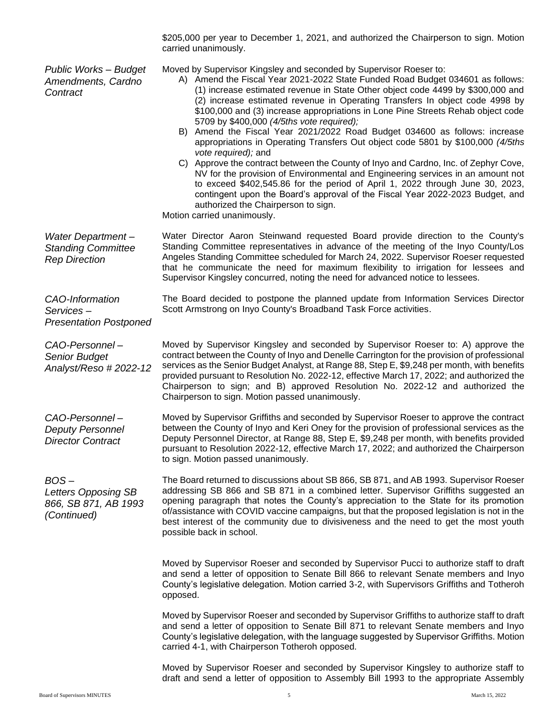\$205,000 per year to December 1, 2021, and authorized the Chairperson to sign. Motion carried unanimously.

| <b>Public Works - Budget</b><br>Amendments, Cardno<br>Contract         | Moved by Supervisor Kingsley and seconded by Supervisor Roeser to:<br>A) Amend the Fiscal Year 2021-2022 State Funded Road Budget 034601 as follows:<br>(1) increase estimated revenue in State Other object code 4499 by \$300,000 and<br>(2) increase estimated revenue in Operating Transfers In object code 4998 by<br>\$100,000 and (3) increase appropriations in Lone Pine Streets Rehab object code<br>5709 by \$400,000 (4/5ths vote required);<br>B) Amend the Fiscal Year 2021/2022 Road Budget 034600 as follows: increase<br>appropriations in Operating Transfers Out object code 5801 by \$100,000 (4/5ths<br>vote required); and<br>C) Approve the contract between the County of Inyo and Cardno, Inc. of Zephyr Cove,<br>NV for the provision of Environmental and Engineering services in an amount not<br>to exceed \$402,545.86 for the period of April 1, 2022 through June 30, 2023,<br>contingent upon the Board's approval of the Fiscal Year 2022-2023 Budget, and<br>authorized the Chairperson to sign.<br>Motion carried unanimously. |
|------------------------------------------------------------------------|--------------------------------------------------------------------------------------------------------------------------------------------------------------------------------------------------------------------------------------------------------------------------------------------------------------------------------------------------------------------------------------------------------------------------------------------------------------------------------------------------------------------------------------------------------------------------------------------------------------------------------------------------------------------------------------------------------------------------------------------------------------------------------------------------------------------------------------------------------------------------------------------------------------------------------------------------------------------------------------------------------------------------------------------------------------------|
| Water Department-<br><b>Standing Committee</b><br><b>Rep Direction</b> | Water Director Aaron Steinwand requested Board provide direction to the County's<br>Standing Committee representatives in advance of the meeting of the Inyo County/Los<br>Angeles Standing Committee scheduled for March 24, 2022. Supervisor Roeser requested<br>that he communicate the need for maximum flexibility to irrigation for lessees and<br>Supervisor Kingsley concurred, noting the need for advanced notice to lessees.                                                                                                                                                                                                                                                                                                                                                                                                                                                                                                                                                                                                                            |
| CAO-Information<br>Services-<br><b>Presentation Postponed</b>          | The Board decided to postpone the planned update from Information Services Director<br>Scott Armstrong on Inyo County's Broadband Task Force activities.                                                                                                                                                                                                                                                                                                                                                                                                                                                                                                                                                                                                                                                                                                                                                                                                                                                                                                           |
| CAO-Personnel-<br><b>Senior Budget</b><br>Analyst/Reso # 2022-12       | Moved by Supervisor Kingsley and seconded by Supervisor Roeser to: A) approve the<br>contract between the County of Inyo and Denelle Carrington for the provision of professional<br>services as the Senior Budget Analyst, at Range 88, Step E, \$9,248 per month, with benefits<br>provided pursuant to Resolution No. 2022-12, effective March 17, 2022; and authorized the<br>Chairperson to sign; and B) approved Resolution No. 2022-12 and authorized the<br>Chairperson to sign. Motion passed unanimously.                                                                                                                                                                                                                                                                                                                                                                                                                                                                                                                                                |
| CAO-Personnel-<br><b>Deputy Personnel</b><br><b>Director Contract</b>  | Moved by Supervisor Griffiths and seconded by Supervisor Roeser to approve the contract<br>between the County of Inyo and Keri Oney for the provision of professional services as the<br>Deputy Personnel Director, at Range 88, Step E, \$9,248 per month, with benefits provided<br>pursuant to Resolution 2022-12, effective March 17, 2022; and authorized the Chairperson<br>to sign. Motion passed unanimously.                                                                                                                                                                                                                                                                                                                                                                                                                                                                                                                                                                                                                                              |
| $BOS -$<br>Letters Opposing SB<br>866, SB 871, AB 1993<br>(Continued)  | The Board returned to discussions about SB 866, SB 871, and AB 1993. Supervisor Roeser<br>addressing SB 866 and SB 871 in a combined letter. Supervisor Griffiths suggested an<br>opening paragraph that notes the County's appreciation to the State for its promotion<br>of/assistance with COVID vaccine campaigns, but that the proposed legislation is not in the<br>best interest of the community due to divisiveness and the need to get the most youth<br>possible back in school.                                                                                                                                                                                                                                                                                                                                                                                                                                                                                                                                                                        |
|                                                                        | Moved by Supervisor Roeser and seconded by Supervisor Pucci to authorize staff to draft<br>and send a letter of opposition to Senate Bill 866 to relevant Senate members and Inyo<br>County's legislative delegation. Motion carried 3-2, with Supervisors Griffiths and Totheroh<br>opposed.                                                                                                                                                                                                                                                                                                                                                                                                                                                                                                                                                                                                                                                                                                                                                                      |
|                                                                        | Moved by Supervisor Roeser and seconded by Supervisor Griffiths to authorize staff to draft<br>and send a letter of opposition to Senate Bill 871 to relevant Senate members and Inyo<br>County's legislative delegation, with the language suggested by Supervisor Griffiths. Motion<br>carried 4-1, with Chairperson Totheroh opposed.                                                                                                                                                                                                                                                                                                                                                                                                                                                                                                                                                                                                                                                                                                                           |
|                                                                        | Moved by Supervisor Roeser and seconded by Supervisor Kingsley to authorize staff to<br>draft and send a letter of opposition to Assembly Bill 1993 to the appropriate Assembly                                                                                                                                                                                                                                                                                                                                                                                                                                                                                                                                                                                                                                                                                                                                                                                                                                                                                    |